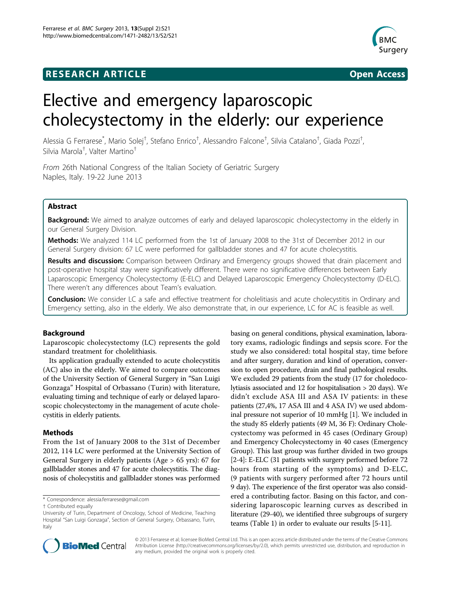## **RESEARCH ARTICLE Example 2014 CONSUMING A CONSUMING A CONSUMING A CONSUMING A CONSUMING A CONSUMING A CONSUMING A CONSUMING A CONSUMING A CONSUMING A CONSUMING A CONSUMING A CONSUMING A CONSUMING A CONSUMING A CONSUMI**





# Elective and emergency laparoscopic cholecystectomy in the elderly: our experience

Alessia G Ferrarese<sup>\*</sup>, Mario Solej<sup>†</sup>, Stefano Enrico<sup>†</sup>, Alessandro Falcone<sup>†</sup>, Silvia Catalano<sup>†</sup>, Giada Pozzi<sup>†</sup> , Silvia Marola† , Valter Martino†

From 26th National Congress of the Italian Society of Geriatric Surgery Naples, Italy. 19-22 June 2013

## Abstract

Background: We aimed to analyze outcomes of early and delayed laparoscopic cholecystectomy in the elderly in our General Surgery Division.

Methods: We analyzed 114 LC performed from the 1st of January 2008 to the 31st of December 2012 in our General Surgery division: 67 LC were performed for gallbladder stones and 47 for acute cholecystitis.

Results and discussion: Comparison between Ordinary and Emergency groups showed that drain placement and post-operative hospital stay were significatively different. There were no significative differences between Early Laparoscopic Emergency Cholecystectomy (E-ELC) and Delayed Laparoscopic Emergency Cholecystectomy (D-ELC). There weren't any differences about Team's evaluation.

Conclusion: We consider LC a safe and effective treatment for cholelitiasis and acute cholecystitis in Ordinary and Emergency setting, also in the elderly. We also demonstrate that, in our experience, LC for AC is feasible as well.

## Background

Laparoscopic cholecystectomy (LC) represents the gold standard treatment for cholelithiasis.

Its application gradually extended to acute cholecystitis (AC) also in the elderly. We aimed to compare outcomes of the University Section of General Surgery in "San Luigi Gonzaga" Hospital of Orbassano (Turin) with literature, evaluating timing and technique of early or delayed laparoscopic cholecystectomy in the management of acute cholecystitis in elderly patients.

## **Methods**

From the 1st of January 2008 to the 31st of December 2012, 114 LC were performed at the University Section of General Surgery in elderly patients (Age > 65 yrs): 67 for gallbladder stones and 47 for acute cholecystitis. The diagnosis of cholecystitis and gallbladder stones was performed

\* Correspondence: [alessia.ferrarese@gmail.com](mailto:alessia.ferrarese@gmail.com)

basing on general conditions, physical examination, laboratory exams, radiologic findings and sepsis score. For the study we also considered: total hospital stay, time before and after surgery, duration and kind of operation, conversion to open procedure, drain and final pathological results. We excluded 29 patients from the study (17 for choledocolytiasis associated and 12 for hospitalisation > 20 days). We didn't exclude ASA III and ASA IV patients: in these patients (27,4%, 17 ASA III and 4 ASA IV) we used abdominal pressure not superior of 10 mmHg [\[1\]](#page-2-0). We included in the study 85 elderly patients (49 M, 36 F): Ordinary Cholecystectomy was peformed in 45 cases (Ordinary Group) and Emergency Cholecystectomy in 40 cases (Emergency Group). This last group was further divided in two groups [[2-4\]](#page-2-0): E-ELC (31 patients with surgery performed before 72 hours from starting of the symptoms) and D-ELC, (9 patients with surgery performed after 72 hours until 9 day). The experience of the first operator was also considered a contributing factor. Basing on this factor, and considering laparoscopic learning curves as described in literature (29-40), we identified three subgroups of surgery teams (Table [1\)](#page-1-0) in order to evaluate our results [[5-11](#page-2-0)].



© 2013 Ferrarese et al; licensee BioMed Central Ltd. This is an open access article distributed under the terms of the Creative Commons Attribution License [\(http://creativecommons.org/licenses/by/2.0](http://creativecommons.org/licenses/by/2.0)), which permits unrestricted use, distribution, and reproduction in any medium, provided the original work is properly cited.

<sup>†</sup> Contributed equally

University of Turin, Department of Oncology, School of Medicine, Teaching Hospital "San Luigi Gonzaga", Section of General Surgery, Orbassano, Turin, Italy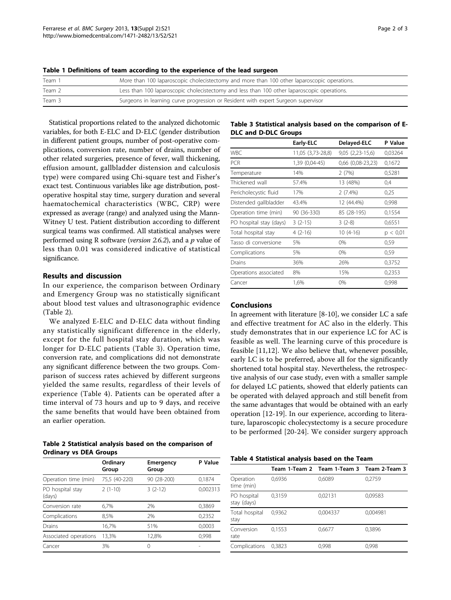| Team 1 | More than 100 laparoscopic cholecistectomy and more than 100 other laparoscopic operations. |
|--------|---------------------------------------------------------------------------------------------|
| Team 2 | Less than 100 laparoscopic cholecistectomy and less than 100 other laparoscopic operations. |
| Team 3 | Surgeons in learning curve progression or Resident with expert Surgeon supervisor           |

<span id="page-1-0"></span>

|  | Table 1 Definitions of team according to the experience of the lead surgeon |  |  |  |  |  |  |  |  |  |
|--|-----------------------------------------------------------------------------|--|--|--|--|--|--|--|--|--|
|--|-----------------------------------------------------------------------------|--|--|--|--|--|--|--|--|--|

Statistical proportions related to the analyzed dichotomic variables, for both E-ELC and D-ELC (gender distribution in different patient groups, number of post-operative complications, conversion rate, number of drains, number of other related surgeries, presence of fever, wall thickening, effusion amount, gallbladder distension and calculosis type) were compared using Chi-square test and Fisher's exact test. Continuous variables like age distribution, postoperative hospital stay time, surgery duration and several haematochemical characteristics (WBC, CRP) were expressed as average (range) and analyzed using the Mann-Witney U test. Patient distribution according to different surgical teams was confirmed. All statistical analyses were performed using R software (version 2.6.2), and a  $p$  value of less than 0.01 was considered indicative of statistical significance.

## Results and discussion

In our experience, the comparison between Ordinary and Emergency Group was no statistically significant about blood test values and ultrasonographic evidence (Table 2).

We analyzed E-ELC and D-ELC data without finding any statistically significant difference in the elderly, except for the full hospital stay duration, which was longer for D-ELC patients (Table 3). Operation time, conversion rate, and complications did not demonstrate any significant difference between the two groups. Comparison of success rates achieved by different surgeons yielded the same results, regardless of their levels of experience (Table 4). Patients can be operated after a time interval of 73 hours and up to 9 days, and receive the same benefits that would have been obtained from an earlier operation.

| Table 2 Statistical analysis based on the comparison of |  |  |
|---------------------------------------------------------|--|--|
| Ordinary vs DEA Groups                                  |  |  |

|                            | Ordinary<br>Group | Emergency<br>Group | P Value  |
|----------------------------|-------------------|--------------------|----------|
| Operation time (min)       | 75,5 (40-220)     | 90 (28-200)        | 0.1874   |
| PO hospital stay<br>(days) | $2(1-10)$         | $3(2-12)$          | 0,002313 |
| Conversion rate            | 6.7%              | 7%                 | 0,3869   |
| Complications              | 8.5%              | 2%                 | 0,2352   |
| Drains                     | 16,7%             | 51%                | 0.0003   |
| Associated operations      | 13,3%             | 12,8%              | 0,998    |
| Cancer                     | 3%                | Ω                  |          |

## Table 3 Statistical analysis based on the comparison of E-DLC and D-DLC Groups

|                         | Early-ELC         | Delayed-ELC           | P Value  |
|-------------------------|-------------------|-----------------------|----------|
| <b>WBC</b>              | 11,05 (3,73-28,8) | $9,05(2,23-15,6)$     | 0,03264  |
| <b>PCR</b>              | 1,39 (0,04-45)    | $0,66$ $(0,08-23,23)$ | 0,1672   |
| Temperature             | 14%               | 2(7%)                 | 0,5281   |
| Thickened wall          | 57.4%             | 13 (48%)              | 0,4      |
| Pericholecystic fluid   | 17%               | $2(7.4\%)$            | 0,25     |
| Distended gallbladder   | 43.4%             | 12 (44.4%)            | 0,998    |
| Operation time (min)    | 90 (36-330)       | 85 (28-195)           | 0,1554   |
| PO hospital stay (days) | $3(2-15)$         | $3(2-8)$              | 0,6551   |
| Total hospital stay     | $4(2-16)$         | $10(4-16)$            | p < 0.01 |
| Tasso di conversione    | 5%                | $0\%$                 | 0,59     |
| Complications           | 5%                | 0%                    | 0,59     |
| Drains                  | 36%               | 26%                   | 0,3752   |
| Operations associated   | 8%                | 15%                   | 0,2353   |
| Cancer                  | 1,6%              | 0%                    | 0,998    |

## Conclusions

In agreement with literature [\[8](#page-2-0)-[10](#page-2-0)], we consider LC a safe and effective treatment for AC also in the elderly. This study demonstrates that in our experience LC for AC is feasible as well. The learning curve of this procedure is feasible [\[11](#page-2-0),[12\]](#page-2-0). We also believe that, whenever possible, early LC is to be preferred, above all for the significantly shortened total hospital stay. Nevertheless, the retrospective analysis of our case study, even with a smaller sample for delayed LC patients, showed that elderly patients can be operated with delayed approach and still benefit from the same advantages that would be obtained with an early operation [\[12](#page-2-0)-[19\]](#page-2-0). In our experience, according to literature, laparoscopic cholecystectomy is a secure procedure to be performed [[20-24](#page-2-0)]. We consider surgery approach

| Table 4 Statistical analysis based on the Team |  |  |  |
|------------------------------------------------|--|--|--|
|------------------------------------------------|--|--|--|

|                            |        | Team 1-Team 2 Team 1-Team 3 Team 2-Team 3 |          |
|----------------------------|--------|-------------------------------------------|----------|
| Operation<br>time (min)    | 0,6936 | 0,6089                                    | 0,2759   |
| PO hospital<br>stay (days) | 0,3159 | 0,02131                                   | 0,09583  |
| Total hospital<br>stay     | 0,9362 | 0,004337                                  | 0,004981 |
| Conversion<br>rate         | 0,1553 | 0,6677                                    | 0,3896   |
| Complications              | 0.3823 | 0.998                                     | 0,998    |